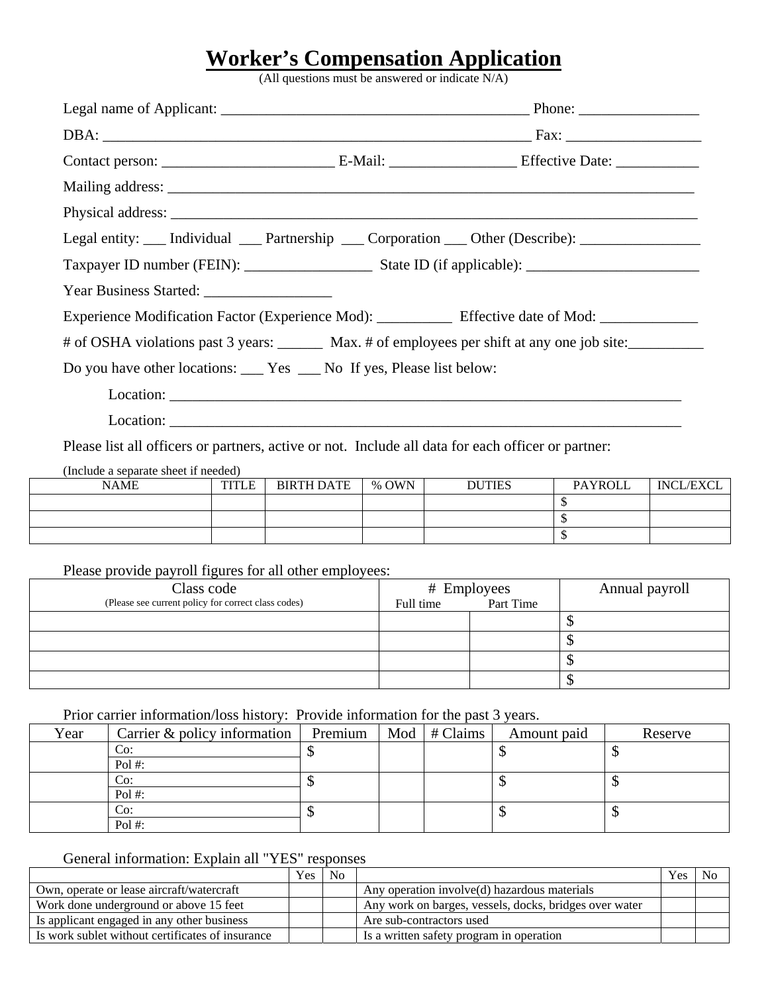## **Worker's Compensation Application**

(All questions must be answered or indicate N/A)

| Legal entity: ___ Individual ___ Partnership ___ Corporation ___ Other (Describe): _______________        |                               |                |               |
|-----------------------------------------------------------------------------------------------------------|-------------------------------|----------------|---------------|
|                                                                                                           |                               |                |               |
|                                                                                                           |                               |                |               |
|                                                                                                           |                               |                |               |
| # of OSHA violations past 3 years: _______ Max. # of employees per shift at any one job site: ___________ |                               |                |               |
| Do you have other locations: ______ Yes ______ No If yes, Please list below:                              |                               |                |               |
|                                                                                                           |                               |                |               |
|                                                                                                           |                               |                |               |
| Please list all officers or partners, active or not. Include all data for each officer or partner:        |                               |                |               |
| (Include a separate sheet if needed)<br>NAME                                                              | TITLE DIDTH DATE $\alpha$ OWN | <b>DAVDOLL</b> | <b>INCLEV</b> |

| <b>NAME</b> | <b>TITLE</b> | <b>BIRTH DATE</b> | % OWN | <b>DUTIES</b> | <b>PAYROLL</b> | <b>INCL/EXCL</b> |
|-------------|--------------|-------------------|-------|---------------|----------------|------------------|
|             |              |                   |       |               |                |                  |
|             |              |                   |       |               |                |                  |
|             |              |                   |       |               |                |                  |

Please provide payroll figures for all other employees:

| Class code                                          | # Employees |           | Annual payroll |
|-----------------------------------------------------|-------------|-----------|----------------|
| (Please see current policy for correct class codes) | Full time   | Part Time |                |
|                                                     |             |           | w              |
|                                                     |             |           | ΝIJ            |
|                                                     |             |           | мD             |
|                                                     |             |           |                |

Prior carrier information/loss history: Provide information for the past 3 years.

| Year | Carrier & policy information | Premium | Mod $# \,$ Claims | Amount paid | Reserve |
|------|------------------------------|---------|-------------------|-------------|---------|
|      | Co:                          |         |                   |             |         |
|      | Pol #:                       |         |                   |             |         |
|      | Co:                          |         |                   |             | w       |
|      | Pol #:                       |         |                   |             |         |
|      | Co:                          |         |                   |             |         |
|      | Pol #:                       |         |                   |             |         |

## General information: Explain all "YES" responses

|                                                  | Yes. | N <sub>0</sub> |                                                        | Y es- | No |
|--------------------------------------------------|------|----------------|--------------------------------------------------------|-------|----|
| Own, operate or lease aircraft/watercraft        |      |                | Any operation involve(d) hazardous materials           |       |    |
| Work done underground or above 15 feet           |      |                | Any work on barges, vessels, docks, bridges over water |       |    |
| Is applicant engaged in any other business       |      |                | Are sub-contractors used                               |       |    |
| Is work sublet without certificates of insurance |      |                | Is a written safety program in operation               |       |    |